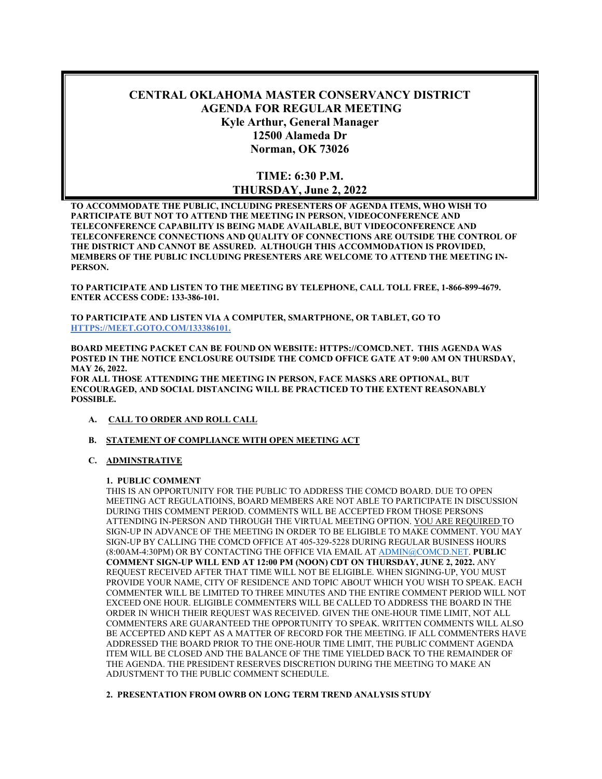# **CENTRAL OKLAHOMA MASTER CONSERVANCY DISTRICT AGENDA FOR REGULAR MEETING Kyle Arthur, General Manager 12500 Alameda Dr Norman, OK 73026**

## **TIME: 6:30 P.M. THURSDAY, June 2, 2022**

**TO ACCOMMODATE THE PUBLIC, INCLUDING PRESENTERS OF AGENDA ITEMS, WHO WISH TO PARTICIPATE BUT NOT TO ATTEND THE MEETING IN PERSON, VIDEOCONFERENCE AND TELECONFERENCE CAPABILITY IS BEING MADE AVAILABLE, BUT VIDEOCONFERENCE AND TELECONFERENCE CONNECTIONS AND QUALITY OF CONNECTIONS ARE OUTSIDE THE CONTROL OF THE DISTRICT AND CANNOT BE ASSURED. ALTHOUGH THIS ACCOMMODATION IS PROVIDED, MEMBERS OF THE PUBLIC INCLUDING PRESENTERS ARE WELCOME TO ATTEND THE MEETING IN-PERSON.** 

**TO PARTICIPATE AND LISTEN TO THE MEETING BY TELEPHONE, CALL TOLL FREE, 1-866-899-4679. ENTER ACCESS CODE: 133-386-101.** 

**TO PARTICIPATE AND LISTEN VIA A COMPUTER, SMARTPHONE, OR TABLET, GO TO HTTPS://MEET.GOTO.COM/133386101.** 

**BOARD MEETING PACKET CAN BE FOUND ON WEBSITE: HTTPS://COMCD.NET. THIS AGENDA WAS POSTED IN THE NOTICE ENCLOSURE OUTSIDE THE COMCD OFFICE GATE AT 9:00 AM ON THURSDAY, MAY 26, 2022.** 

**FOR ALL THOSE ATTENDING THE MEETING IN PERSON, FACE MASKS ARE OPTIONAL, BUT ENCOURAGED, AND SOCIAL DISTANCING WILL BE PRACTICED TO THE EXTENT REASONABLY POSSIBLE.** 

- **A. CALL TO ORDER AND ROLL CALL**
- **B. STATEMENT OF COMPLIANCE WITH OPEN MEETING ACT**
- **C. ADMINSTRATIVE**

#### **1. PUBLIC COMMENT**

THIS IS AN OPPORTUNITY FOR THE PUBLIC TO ADDRESS THE COMCD BOARD. DUE TO OPEN MEETING ACT REGULATIOINS, BOARD MEMBERS ARE NOT ABLE TO PARTICIPATE IN DISCUSSION DURING THIS COMMENT PERIOD. COMMENTS WILL BE ACCEPTED FROM THOSE PERSONS ATTENDING IN-PERSON AND THROUGH THE VIRTUAL MEETING OPTION. YOU ARE REQUIRED TO SIGN-UP IN ADVANCE OF THE MEETING IN ORDER TO BE ELIGIBLE TO MAKE COMMENT. YOU MAY SIGN-UP BY CALLING THE COMCD OFFICE AT 405-329-5228 DURING REGULAR BUSINESS HOURS (8:00AM-4:30PM) OR BY CONTACTING THE OFFICE VIA EMAIL AT ADMIN@COMCD.NET. **PUBLIC COMMENT SIGN-UP WILL END AT 12:00 PM (NOON) CDT ON THURSDAY, JUNE 2, 2022.** ANY REQUEST RECEIVED AFTER THAT TIME WILL NOT BE ELIGIBLE. WHEN SIGNING-UP, YOU MUST PROVIDE YOUR NAME, CITY OF RESIDENCE AND TOPIC ABOUT WHICH YOU WISH TO SPEAK. EACH COMMENTER WILL BE LIMITED TO THREE MINUTES AND THE ENTIRE COMMENT PERIOD WILL NOT EXCEED ONE HOUR. ELIGIBLE COMMENTERS WILL BE CALLED TO ADDRESS THE BOARD IN THE ORDER IN WHICH THEIR REQUEST WAS RECEIVED. GIVEN THE ONE-HOUR TIME LIMIT, NOT ALL COMMENTERS ARE GUARANTEED THE OPPORTUNITY TO SPEAK. WRITTEN COMMENTS WILL ALSO BE ACCEPTED AND KEPT AS A MATTER OF RECORD FOR THE MEETING. IF ALL COMMENTERS HAVE ADDRESSED THE BOARD PRIOR TO THE ONE-HOUR TIME LIMIT, THE PUBLIC COMMENT AGENDA ITEM WILL BE CLOSED AND THE BALANCE OF THE TIME YIELDED BACK TO THE REMAINDER OF THE AGENDA. THE PRESIDENT RESERVES DISCRETION DURING THE MEETING TO MAKE AN ADJUSTMENT TO THE PUBLIC COMMENT SCHEDULE.

### **2. PRESENTATION FROM OWRB ON LONG TERM TREND ANALYSIS STUDY**